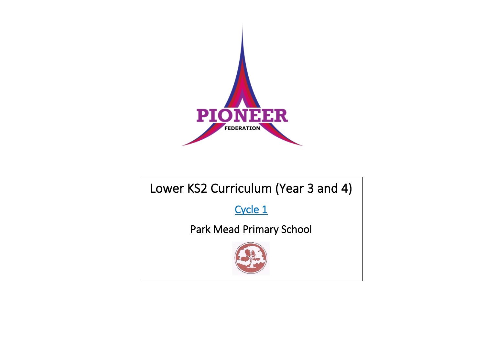

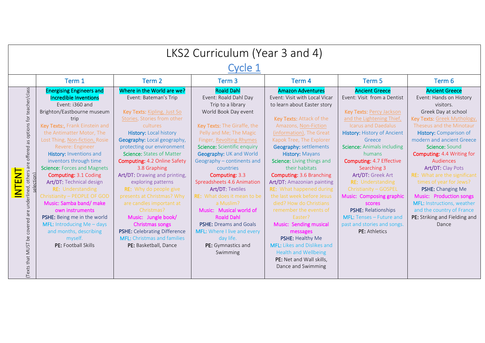| LKS2 Curriculum (Year 3 and 4)                                                                                              |                                                                                                                                                                                                                                                                                                                                                                                                                                                                                                                                                                                                                                          |                                                                                                                                                                                                                                                                                                                                                                                                                                                                                                                                                                                                                          |                                                                                                                                                                                                                                                                                                                                                                                                                                                                                                                                                                                 |                                                                                                                                                                                                                                                                                                                                                                                                                                                                                                                                                                                                                                                                                             |                                                                                                                                                                                                                                                                                                                                                                                                                                                                                                                |                                                                                                                                                                                                                                                                                                                                                                                                                                                                                                                               |  |  |
|-----------------------------------------------------------------------------------------------------------------------------|------------------------------------------------------------------------------------------------------------------------------------------------------------------------------------------------------------------------------------------------------------------------------------------------------------------------------------------------------------------------------------------------------------------------------------------------------------------------------------------------------------------------------------------------------------------------------------------------------------------------------------------|--------------------------------------------------------------------------------------------------------------------------------------------------------------------------------------------------------------------------------------------------------------------------------------------------------------------------------------------------------------------------------------------------------------------------------------------------------------------------------------------------------------------------------------------------------------------------------------------------------------------------|---------------------------------------------------------------------------------------------------------------------------------------------------------------------------------------------------------------------------------------------------------------------------------------------------------------------------------------------------------------------------------------------------------------------------------------------------------------------------------------------------------------------------------------------------------------------------------|---------------------------------------------------------------------------------------------------------------------------------------------------------------------------------------------------------------------------------------------------------------------------------------------------------------------------------------------------------------------------------------------------------------------------------------------------------------------------------------------------------------------------------------------------------------------------------------------------------------------------------------------------------------------------------------------|----------------------------------------------------------------------------------------------------------------------------------------------------------------------------------------------------------------------------------------------------------------------------------------------------------------------------------------------------------------------------------------------------------------------------------------------------------------------------------------------------------------|-------------------------------------------------------------------------------------------------------------------------------------------------------------------------------------------------------------------------------------------------------------------------------------------------------------------------------------------------------------------------------------------------------------------------------------------------------------------------------------------------------------------------------|--|--|
|                                                                                                                             | Cycle 1                                                                                                                                                                                                                                                                                                                                                                                                                                                                                                                                                                                                                                  |                                                                                                                                                                                                                                                                                                                                                                                                                                                                                                                                                                                                                          |                                                                                                                                                                                                                                                                                                                                                                                                                                                                                                                                                                                 |                                                                                                                                                                                                                                                                                                                                                                                                                                                                                                                                                                                                                                                                                             |                                                                                                                                                                                                                                                                                                                                                                                                                                                                                                                |                                                                                                                                                                                                                                                                                                                                                                                                                                                                                                                               |  |  |
|                                                                                                                             | Term 1                                                                                                                                                                                                                                                                                                                                                                                                                                                                                                                                                                                                                                   | Term 2                                                                                                                                                                                                                                                                                                                                                                                                                                                                                                                                                                                                                   | Term <sub>3</sub>                                                                                                                                                                                                                                                                                                                                                                                                                                                                                                                                                               | Term 4                                                                                                                                                                                                                                                                                                                                                                                                                                                                                                                                                                                                                                                                                      | Term 5                                                                                                                                                                                                                                                                                                                                                                                                                                                                                                         | Term 6                                                                                                                                                                                                                                                                                                                                                                                                                                                                                                                        |  |  |
| as options for teacher/class<br>underlined, others are offered<br><b>INTEN</b><br>ection<br>(Texts that MUST be covered are | <b>Energising Engineers and</b><br><b>Incredible Inventions</b><br>Event: i360 and<br>Brighton/Eastbourne museum<br>trip<br>Key Texts:, Frank Einstein and<br>the Antimatter Motor, The<br>Lost Thing, Non-fiction, Rosie<br>Revere: Engineer<br>History: Inventions and<br>inventors through time<br><b>Science: Forces and Magnets</b><br><b>Computing: 3.1 Coding</b><br>Art/DT: Technical design<br>RE: Understanding<br>Christianity - PEOPLE OF GOD<br>Music: Samba band/make<br>own instruments<br>PSHE: Being me in the world<br><b>MFL:</b> Introducing $Me - days$<br>and months, describing<br>myself.<br>PE: Football Skills | Where in the World are we?<br>Event: Bateman's Trip<br>Key Texts: Kipling, Just So<br>Stories, Stories from other<br>cultures<br><b>History: Local history</b><br>Geography: Local geography,<br>protecting our environment<br>Science: States of Matter<br><b>Computing: 4.2 Online Safety</b><br>3.8 Graphing<br>Art/DT: Drawing and printing,<br>exploring patterns<br><b>RE:</b> Why do people give<br>presents at Christmas? Why<br>are candles important at<br>Christmas?<br>Music: Jungle book/<br>Christmas songs<br>PSHE: Celebrating Difference<br><b>MFL:</b> Christmas and families<br>PE: Basketball, Dance | <b>Roald Dahl</b><br>Event: Roald Dahl Day<br>Trip to a library<br>World Book Day event<br>Key Texts: The Giraffe, the<br>Pelly and Me; The Magic<br>Finger, Revolting Rhymes<br>Science: Scientific enquiry<br>Geography: UK and World<br>Geography - continents and<br>countries<br>Computing: 3.3<br>Spreadsheets 4.6 Animation<br><b>Art/DT: Textiles</b><br>RE: What does it mean to be<br>a Muslim?<br>Music: Musical world of<br><b>Roald Dahl</b><br><b>PSHE: Dreams and Goals</b><br><b>MFL:</b> Where I live and every<br>day life.<br>PE: Gymnastics and<br>Swimming | <b>Amazon Adventures</b><br>Event: Visit with Local Vicar<br>to learn about Easter story<br>Key Texts: Attack of the<br>Amazons, Non-Fiction<br>(information), The Great<br>Kapok Tree, The Explorer<br><b>Geography: settlements</b><br>History: Mayans<br>Science: Living things and<br>their habitats<br><b>Computing: 3.6 Branching</b><br>Art/DT: Amazonian painting<br><b>RE:</b> What happened during<br>the last week before Jesus<br>died? How do Christians<br>remember the events of<br>Easter?<br>Music: Sending musical<br>messages<br>PSHE: Healthy Me<br><b>MFL:</b> Likes and Dislikes and<br><b>Health and Wellbeing</b><br>PE: Net and Wall skills,<br>Dance and Swimming | <b>Ancient Greece</b><br>Event: Visit from a Dentist<br>Key Texts: Percy Jackson<br>and the Lightening Thief<br><b>Icarus and Daedalus</b><br><b>History: History of Ancient</b><br>Greece<br><b>Science:</b> Animals including<br>humans<br><b>Computing: 4.7 Effective</b><br>Searching 3<br>Art/DT: Greek Art<br><b>RE:</b> Understanding<br>Christianity - GOSPEL<br>Music: Composing graphic<br>scores<br>PSHE: Relationships<br>MFL: Tenses - Future and<br>past and stories and songs.<br>PE: Athletics | <b>Ancient Greece</b><br>Event: Hands on History<br>visitors.<br>Greek Day at school<br>Key Texts: Greek Mythology,<br>Theseus and the Minotaur<br>History: Comparison of<br>modern and ancient Greece<br>Science: Sound<br><b>Computing: 4.4 Writing for</b><br>Audiences<br>Art/DT: Clay Pots<br><b>RE:</b> What are the significant<br>times of year for Jews?<br>PSHE: Changing Me<br>Music: Production songs<br><b>MFL: Instructions, weather</b><br>and the country of France<br>PE: Striking and Fielding and<br>Dance |  |  |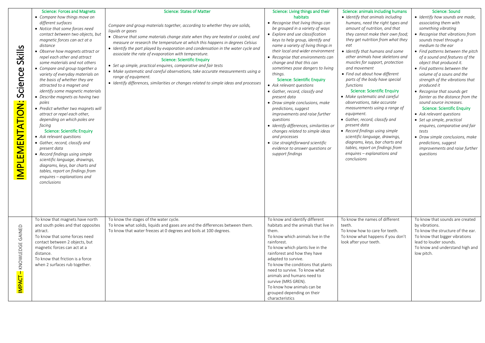| Skills<br>Science<br>IMPLEMENTATION: | <b>Science: Forces and Magnets</b><br>• Compare how things move on<br>different surfaces<br>• Notice that some forces need<br>contact between two objects, but<br>magnetic forces can act at a<br>distance<br>• Observe how magnets attract or<br>repel each other and attract<br>some materials and not others<br>• Compare and group together a<br>variety of everyday materials on<br>the basis of whether they are<br>attracted to a magnet and<br>identify some magnetic materials<br>• Describe magnets as having two<br>poles<br>• Predict whether two magnets will<br>attract or repel each other,<br>depending on which poles are<br>facing<br><b>Science: Scientific Enquiry</b><br>• Ask relevant questions<br>• Gather, record, classify and<br>present data<br>• Record findings using simple<br>scientific language, drawings,<br>diagrams, keys, bar charts and<br>tables, report on findings from<br>enquires - explanations and<br>conclusions | <b>Science: States of Matter</b><br>Compare and group materials together, according to whether they are solids,<br>liquids or gases<br>• Observe that some materials change state when they are heated or cooled, and<br>measure or research the temperature at which this happens in degrees Celsius<br>• Identify the part played by evaporation and condensation in the water cycle and<br>associate the rate of evaporation with temperature.<br><b>Science: Scientific Enquiry</b><br>• Set up simple, practical enguires, comparative and fair tests<br>• Make systematic and careful observations, take accurate measurements using a<br>range of equipment.<br>• Identify differences, similarities or changes related to simple ideas and processes | Science: Living things and their<br>habitats<br>• Recognise that living things can<br>be grouped in a variety of ways<br>• Explore and use classification<br>keys to help group, identify and<br>name a variety of living things in<br>their local and wider environment<br>• Recognise that environments can<br>change and that this can<br>sometimes pose dangers to living<br>things.<br><b>Science: Scientific Enquiry</b><br>• Ask relevant questions<br>• Gather, record, classify and<br>present data<br>• Draw simple conclusions, make<br>predictions, suggest<br>improvements and raise further<br>questions<br>• Identify differences, similarities or<br>changes related to simple ideas<br>and processes<br>• Use straightforward scientific<br>evidence to answer questions or<br>support findings | Science: animals including humans<br>• Identify that animals including<br>humans, need the right types and<br>amount of nutrition, and that<br>they cannot make their own food;<br>they get nutrition from what they<br>eat<br>• Identify that humans and some<br>other animals have skeletons and<br>muscles for support, protection<br>and movement<br>• Find out about how different<br>parts of the body have special<br>functions<br><b>Science: Scientific Enquiry</b><br>• Make systematic and careful<br>observations, take accurate<br>measurements using a range of<br>equipment.<br>• Gather, record, classify and<br>present data<br>• Record findings using simple<br>scientific language, drawings,<br>diagrams, keys, bar charts and<br>tables, report on findings from<br>enquires – explanations and<br>conclusions | <b>Science: Sound</b><br>• Identify how sounds are made,<br>associating them with<br>something vibrating<br>• Recognise that vibrations from<br>sounds travel through a<br>medium to the ear<br>• Find patterns between the pitch<br>of a sound and features of the<br>object that produced it.<br>• Find patterns between the<br>volume of a souns and the<br>strength of the vibrations that<br>produced it<br>• Recognise that sounds get<br>fainter as the distance from the<br>sound source increases.<br><b>Science: Scientific Enquiry</b><br>• Ask relevant questions<br>• Set up simple, practical<br>enquires, comparative and fair<br>tests<br>• Draw simple conclusions, make<br>predictions, suggest<br>improvements and raise further<br>questions |
|--------------------------------------|-----------------------------------------------------------------------------------------------------------------------------------------------------------------------------------------------------------------------------------------------------------------------------------------------------------------------------------------------------------------------------------------------------------------------------------------------------------------------------------------------------------------------------------------------------------------------------------------------------------------------------------------------------------------------------------------------------------------------------------------------------------------------------------------------------------------------------------------------------------------------------------------------------------------------------------------------------------------|--------------------------------------------------------------------------------------------------------------------------------------------------------------------------------------------------------------------------------------------------------------------------------------------------------------------------------------------------------------------------------------------------------------------------------------------------------------------------------------------------------------------------------------------------------------------------------------------------------------------------------------------------------------------------------------------------------------------------------------------------------------|------------------------------------------------------------------------------------------------------------------------------------------------------------------------------------------------------------------------------------------------------------------------------------------------------------------------------------------------------------------------------------------------------------------------------------------------------------------------------------------------------------------------------------------------------------------------------------------------------------------------------------------------------------------------------------------------------------------------------------------------------------------------------------------------------------------|--------------------------------------------------------------------------------------------------------------------------------------------------------------------------------------------------------------------------------------------------------------------------------------------------------------------------------------------------------------------------------------------------------------------------------------------------------------------------------------------------------------------------------------------------------------------------------------------------------------------------------------------------------------------------------------------------------------------------------------------------------------------------------------------------------------------------------------|------------------------------------------------------------------------------------------------------------------------------------------------------------------------------------------------------------------------------------------------------------------------------------------------------------------------------------------------------------------------------------------------------------------------------------------------------------------------------------------------------------------------------------------------------------------------------------------------------------------------------------------------------------------------------------------------------------------------------------------------------------------|
| KNOWLEDGE GAINED<br>IMPACT-          | To know that magnets have north<br>and south poles and that opposites<br>attract.<br>To know that some forces need<br>contact between 2 objects, but<br>magnetic forces can act at a<br>distance.<br>To know that friction is a force<br>when 2 surfaces rub together.                                                                                                                                                                                                                                                                                                                                                                                                                                                                                                                                                                                                                                                                                          | To know the stages of the water cycle.<br>To know what solids, liquids and gases are and the differences between them.<br>To know that water freezes at 0 degrees and boils at 100 degrees.                                                                                                                                                                                                                                                                                                                                                                                                                                                                                                                                                                  | To know and identify different<br>habitats and the animals that live in<br>them.<br>To know which animals live in the<br>rainforest.<br>To know which plants live in the<br>rainforest and how they have<br>adapted to survive.<br>To know the conditions that plants<br>need to survive. To know what<br>animals and humans need to<br>survive (MRS GREN).<br>To know how animals can be<br>grouped depending on their<br>characteristics                                                                                                                                                                                                                                                                                                                                                                       | To know the names of different<br>teeth.<br>To know how to care for teeth.<br>To know what happens if you don't<br>look after your teeth.                                                                                                                                                                                                                                                                                                                                                                                                                                                                                                                                                                                                                                                                                            | To know that sounds are created<br>by vibrations.<br>To know the structure of the ear.<br>To know that bigger vibrations<br>lead to louder sounds.<br>To know and understand high and<br>low pitch.                                                                                                                                                                                                                                                                                                                                                                                                                                                                                                                                                              |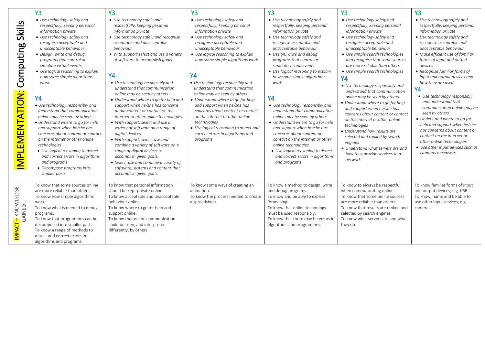|                                               | <b>Y3</b>                                                                                                                                                                                                                                                                                                                                                                                                                                                                                                                                                                                                                                                                                                                                                      | Y3                                                                                                                                                                                                                                                                                                                                                                                                                                                                                                                                                                                                                                                                                                                                                                                                                                                                           | Y3                                                                                                                                                                                                                                                                                                                                                                                                                                                                                                                                                                                                                        | <b>Y3</b>                                                                                                                                                                                                                                                                                                                                                                                                                                                                                                                                                                                                                                                                                                 | <b>Y3</b>                                                                                                                                                                                                                                                                                                                                                                                                                                                                                                                                                                                                                                                                                                                                                         | <b>Y3</b>                                                                                                                                                                                                                                                                                                                                                                                                                                                                                                                                                                                                                                                                               |
|-----------------------------------------------|----------------------------------------------------------------------------------------------------------------------------------------------------------------------------------------------------------------------------------------------------------------------------------------------------------------------------------------------------------------------------------------------------------------------------------------------------------------------------------------------------------------------------------------------------------------------------------------------------------------------------------------------------------------------------------------------------------------------------------------------------------------|------------------------------------------------------------------------------------------------------------------------------------------------------------------------------------------------------------------------------------------------------------------------------------------------------------------------------------------------------------------------------------------------------------------------------------------------------------------------------------------------------------------------------------------------------------------------------------------------------------------------------------------------------------------------------------------------------------------------------------------------------------------------------------------------------------------------------------------------------------------------------|---------------------------------------------------------------------------------------------------------------------------------------------------------------------------------------------------------------------------------------------------------------------------------------------------------------------------------------------------------------------------------------------------------------------------------------------------------------------------------------------------------------------------------------------------------------------------------------------------------------------------|-----------------------------------------------------------------------------------------------------------------------------------------------------------------------------------------------------------------------------------------------------------------------------------------------------------------------------------------------------------------------------------------------------------------------------------------------------------------------------------------------------------------------------------------------------------------------------------------------------------------------------------------------------------------------------------------------------------|-------------------------------------------------------------------------------------------------------------------------------------------------------------------------------------------------------------------------------------------------------------------------------------------------------------------------------------------------------------------------------------------------------------------------------------------------------------------------------------------------------------------------------------------------------------------------------------------------------------------------------------------------------------------------------------------------------------------------------------------------------------------|-----------------------------------------------------------------------------------------------------------------------------------------------------------------------------------------------------------------------------------------------------------------------------------------------------------------------------------------------------------------------------------------------------------------------------------------------------------------------------------------------------------------------------------------------------------------------------------------------------------------------------------------------------------------------------------------|
| Skills<br>Computing<br><b>IMPLEMENTATION:</b> | • Use technology safely and<br>respectfully, keeping personal<br>information private<br>• Use technology safely and<br>recognise acceptable and<br>unacceptable behaviour<br>• Design, write and debug<br>programs that control or<br>simulate virtual events<br>• Use logical reasoning to explain<br>how some simple algorithms<br>work<br><b>Y4</b><br>• Use technology responsibly and<br>understand that communication<br>online may be seen by others<br>· Understand where to go for help<br>and support when he/she has<br>concerns about content or contact<br>on the internet or other online<br>technologies<br>• Use logical reasoning to detect<br>and correct errors in algorithms<br>and programs<br>• Decompose programs into<br>smaller parts | • Use technology safely and<br>respectfully, keeping personal<br>information private<br>• Use technology safely and recognise<br>acceptable and unacceptable<br>behaviour<br>• With support select and use a variety<br>of software to accomplish goals<br><b>Y4</b><br>• Use technology responsibly and<br>understand that communication<br>online may be seen by others<br>• Understand where to go for help and<br>support when he/she has concerns<br>about content or contact on the<br>internet or other online technologies<br>• With support, select and use a<br>variety of software on a range of<br>digital devices<br>• With support, select, use and<br>combine a variety of software on a<br>range of digital devices to<br>accomplish given goals.<br>• Select, use and combine a variety of<br>software, systems and content that<br>accomplish given goals. | • Use technology safely and<br>respectfully, keeping personal<br>information private<br>• Use technology safely and<br>recognise acceptable and<br>unacceptable behaviour<br>• Use logical reasoning to explain<br>how some simple algorithms work<br><b>Y4</b><br>• Use technology responsibly and<br>understand that communication<br>online may be seen by others<br>• Understand where to go for help<br>and support when he/she has<br>concerns about content or contact<br>on the internet or other online<br>technologies<br>• Use logical reasoning to detect and<br>correct errors in algorithms and<br>programs | • Use technology safely and<br>respectfully, keeping personal<br>information private<br>• Use technology safely and<br>recognise acceptable and<br>unacceptable behaviour<br>• Design, write and debug<br>programs that control or<br>simulate virtual events<br>• Use logical reasoning to explain<br>how some simple algorithms<br>work<br>Y4<br>• Use technology responsibly and<br>understand that communication<br>online may be seen by others<br>• Understand where to go for help<br>and support when he/she has<br>concerns about content or<br>contact on the internet or other<br>online technologies<br>• Use logical reasoning to detect<br>and correct errors in algorithms<br>and programs | • Use technology safely and<br>respectfully, keeping personal<br>information private<br>• Use technology safely and<br>recognise acceptable and<br>unacceptable behaviour<br>• Use simple search technologies<br>and recognise that some sources<br>are more reliable than others<br>• Use simple search technologies<br><b>Y4</b><br>• Use technology responsibly and<br>understand that communication<br>online may be seen by others<br>• Understand where to go for help<br>and support when he/she has<br>concerns about content or contact<br>on the internet or other online<br>technologies<br>• Understand how results are<br>selected and ranked by search<br>enaines<br>• Understand what servers are and<br>how they provide services to a<br>network | • Use technology safely and<br>respectfully, keeping personal<br>information private<br>• Use technology safely and<br>recognise acceptable and<br>unacceptable behaviour<br>• Make efficient use of familiar<br>forms of input and output<br>devices<br>• Recognise familiar forms of<br>input and output devices and<br>how they are used<br><b>Y4</b><br>• Use technology responsibly<br>and understand that<br>communication online may be<br>seen by others<br>• Understand where to go for<br>help and support when he/she<br>has concerns about content or<br>contact on the internet or<br>other online technologies<br>• Use other input devices such as<br>cameras or sensors |
| IMPACT - KNOWLEDGE<br>GAINED                  | To know that some sources online<br>are more reliable than others<br>To know how simple algorithms<br>work.<br>To know what is needed to debug<br>programs.<br>To know that programmes can be<br>decomposed into smaller parts<br>To know a range of methods to<br>detect and correct errors in<br>algorithms and programs.                                                                                                                                                                                                                                                                                                                                                                                                                                    | To know that personal information<br>should be kept private online.<br>To know acceptable and unacceptable<br>behaviour online.<br>To know where to go for help and<br>support online.<br>To know that online communication<br>could be seen, and interpreted<br>differently, by others.                                                                                                                                                                                                                                                                                                                                                                                                                                                                                                                                                                                     | To know some ways of creating an<br>animation.<br>To know the process needed to create<br>a spreadsheet                                                                                                                                                                                                                                                                                                                                                                                                                                                                                                                   | To know a method to design, write<br>and debug programs.<br>To know and be able to explain<br>'branching'.<br>To know that online technology<br>must be used responsibly.<br>To know that there may be errors in<br>algorithms and programmes.                                                                                                                                                                                                                                                                                                                                                                                                                                                            | To know to always be respectful<br>when communicating online.<br>To know that some online sources<br>are more reliable than others.<br>To know that results are ranked and<br>selected by search engines.<br>To know what servers are and what<br>they do.                                                                                                                                                                                                                                                                                                                                                                                                                                                                                                        | To know familiar forms of input<br>and output devices, e.g. USB.<br>To know, name and be able to<br>use other input devices, e.g.<br>cameras.                                                                                                                                                                                                                                                                                                                                                                                                                                                                                                                                           |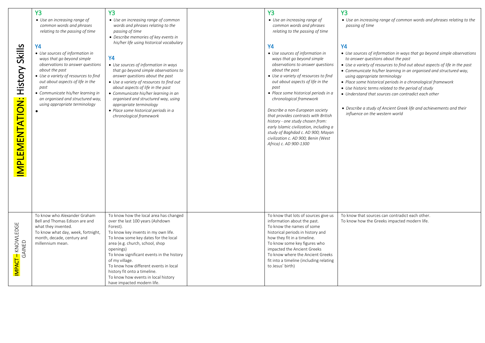|                                           | <b>Y3</b>                                                                                                                                                                                                                                    | <b>Y3</b>                                                                                                                                                                                                                                                                                                                                                                                | <b>Y3</b>                                                                                                                                                                                                                                                                                                                                                                                                                                                                     | <b>Y3</b>                                                                                                                                                                                                                                                                                                                                                                                                                                     |
|-------------------------------------------|----------------------------------------------------------------------------------------------------------------------------------------------------------------------------------------------------------------------------------------------|------------------------------------------------------------------------------------------------------------------------------------------------------------------------------------------------------------------------------------------------------------------------------------------------------------------------------------------------------------------------------------------|-------------------------------------------------------------------------------------------------------------------------------------------------------------------------------------------------------------------------------------------------------------------------------------------------------------------------------------------------------------------------------------------------------------------------------------------------------------------------------|-----------------------------------------------------------------------------------------------------------------------------------------------------------------------------------------------------------------------------------------------------------------------------------------------------------------------------------------------------------------------------------------------------------------------------------------------|
| Skills                                    | • Use an increasing range of<br>common words and phrases<br>relating to the passing of time<br><b>Y4</b><br>• Use sources of information in<br>ways that go beyond simple<br>observations to answer questions                                | • Use an increasing range of common<br>words and phrases relating to the<br>passing of time<br>• Describe memories of key events in<br>his/her life using historical vocabulary<br><b>Y4</b><br>• Use sources of information in ways                                                                                                                                                     | • Use an increasing range of<br>common words and phrases<br>relating to the passing of time<br><b>Y4</b><br>• Use sources of information in<br>ways that go beyond simple<br>observations to answer questions                                                                                                                                                                                                                                                                 | • Use an increasing range of common words and phrases relating to the<br>passing of time<br><b>Y4</b><br>• Use sources of information in ways that go beyond simple observations<br>to answer questions about the past<br>• Use a variety of resources to find out about aspects of life in the past                                                                                                                                          |
| <b>History</b><br><b>MPLEMENTATION:</b>   | about the past<br>• Use a variety of resources to find<br>out about aspects of life in the<br>past<br>• Communicate his/her learning in<br>an organised and structured way,<br>using appropriate terminology<br>To know who Alexander Graham | that go beyond simple observations to<br>answer questions about the past<br>• Use a variety of resources to find out<br>about aspects of life in the past<br>• Communicate his/her learning in an<br>organised and structured way, using<br>appropriate terminology<br>• Place some historical periods in a<br>chronological framework<br>To know how the local area has changed         | about the past<br>• Use a variety of resources to find<br>out about aspects of life in the<br>past<br>• Place some historical periods in a<br>chronological framework<br>Describe a non-European society<br>that provides contrasts with British<br>history - one study chosen from:<br>early Islamic civilization, including a<br>study of Baghdad c. AD 900; Mayan<br>civilization c. AD 900; Benin (West<br>Africa) c. AD 900-1300<br>To know that lots of sources give us | • Communicate his/her learning in an organised and structured way,<br>using appropriate terminology<br>• Place some historical periods in a chronological framework<br>• Use historic terms related to the period of study<br>• Understand that sources can contradict each other<br>• Describe a study of Ancient Greek life and achievements and their<br>influence on the western world<br>To know that sources can contradict each other. |
| <mark>IMPACT –</mark> KNOWLEDGE<br>GAINED | Bell and Thomas Edison are and<br>what they invented.<br>To know what day, week, fortnight,<br>month, decade, century and<br>millennium mean.                                                                                                | over the last 100 years (Ashdown<br>Forest).<br>To know key invents in my own life.<br>To know some key dates for the local<br>area (e.g. church, school, shop<br>openings)<br>To know significant events in the history<br>of my village.<br>To know how different events in local<br>history fit onto a timeline.<br>To know how events in local history<br>have impacted modern life. | information about the past.<br>To know the names of some<br>historical periods in history and<br>how they fit in a timeline.<br>To know some key figures who<br>impacted the Ancient Greeks<br>To know where the Ancient Greeks<br>fit into a timeline (including relating<br>to Jesus' birth)                                                                                                                                                                                | To know how the Greeks impacted modern life.                                                                                                                                                                                                                                                                                                                                                                                                  |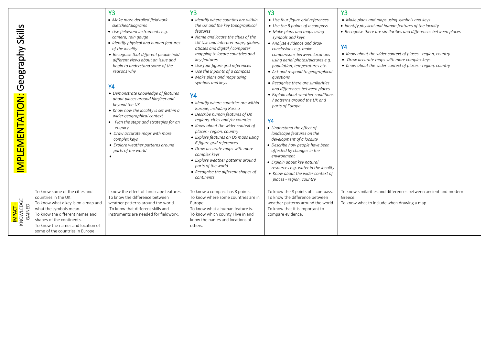|                                                |                                                                                                                                                                                                                                                                 | <b>Y3</b>                                                                                                                                                                                                                                                                                                                                                                                                                                                                                                                                                                                                                                                       | Y <sub>3</sub>                                                                                                                                                                                                                                                                                                                                                                                                                                                                                                                                                                                                                                                                                                                                                                                                                                   | Y <sub>3</sub>                                                                                                                                                                                                                                                                                                                                                                                                                                                                                                                                                                                                                                                                                                                                                                                                                         | <b>Y3</b>                                                                                                                                                                                                                                                                                                                                                           |
|------------------------------------------------|-----------------------------------------------------------------------------------------------------------------------------------------------------------------------------------------------------------------------------------------------------------------|-----------------------------------------------------------------------------------------------------------------------------------------------------------------------------------------------------------------------------------------------------------------------------------------------------------------------------------------------------------------------------------------------------------------------------------------------------------------------------------------------------------------------------------------------------------------------------------------------------------------------------------------------------------------|--------------------------------------------------------------------------------------------------------------------------------------------------------------------------------------------------------------------------------------------------------------------------------------------------------------------------------------------------------------------------------------------------------------------------------------------------------------------------------------------------------------------------------------------------------------------------------------------------------------------------------------------------------------------------------------------------------------------------------------------------------------------------------------------------------------------------------------------------|----------------------------------------------------------------------------------------------------------------------------------------------------------------------------------------------------------------------------------------------------------------------------------------------------------------------------------------------------------------------------------------------------------------------------------------------------------------------------------------------------------------------------------------------------------------------------------------------------------------------------------------------------------------------------------------------------------------------------------------------------------------------------------------------------------------------------------------|---------------------------------------------------------------------------------------------------------------------------------------------------------------------------------------------------------------------------------------------------------------------------------------------------------------------------------------------------------------------|
| Skills<br>Geography<br><b>ΜΡ</b> LEMENT ΑΤΙΟΝ: |                                                                                                                                                                                                                                                                 | • Make more detailed fieldwork<br>sketches/diagrams<br>• Use fieldwork instruments e.g.<br>camera, rain gauge<br>· Identify physical and human features<br>of the locality<br>• Recognise that different people hold<br>different views about an issue and<br>begin to understand some of the<br>reasons why<br><b>Y4</b><br>• Demonstrate knowledge of features<br>about places around him/her and<br>beyond the UK<br>• Know how the locality is set within a<br>wider geographical context<br>• Plan the steps and strategies for an<br>enquiry<br>• Draw accurate maps with more<br>complex keys<br>• Explore weather patterns around<br>parts of the world | • Identify where counties are within<br>the UK and the key topographical<br>features<br>• Name and locate the cities of the<br>UK Use and interpret maps, globes,<br>atlases and digital / computer<br>mapping to locate countries and<br>key features<br>• Use four figure grid references<br>• Use the 8 points of a compass<br>• Make plans and maps using<br>symbols and keys<br><b>Y4</b><br>• Identify where countries are within<br>Europe; including Russia<br>• Describe human features of UK<br>regions, cities and /or counties<br>• Know about the wider context of<br>places - region, country<br>• Explore features on OS maps using<br>6 figure grid references<br>• Draw accurate maps with more<br>complex keys<br>• Explore weather patterns around<br>parts of the world<br>• Recognise the different shapes of<br>continents | • Use four figure grid references<br>• Use the 8 points of a compass<br>• Make plans and maps using<br>symbols and keys<br>• Analyse evidence and draw<br>conclusions e.g. make<br>comparisons between locations<br>using aerial photos/pictures e.g.<br>population, temperatures etc.<br>• Ask and respond to geographical<br>questions<br>• Recognise there are similarities<br>and differences between places<br>• Explain about weather conditions<br>/ patterns around the UK and<br>parts of Europe<br><b>Y4</b><br>• Understand the effect of<br>landscape features on the<br>development of a locality<br>• Describe how people have been<br>affected by changes in the<br>environment<br>• Explain about key natural<br>resources e.g. water in the locality<br>• Know about the wider context of<br>places - region, country | • Make plans and maps using symbols and keys<br>• Identify physical and human features of the locality<br>• Recognise there are similarities and differences between places<br><b>Y4</b><br>• Know about the wider context of places - region, country<br>• Draw accurate maps with more complex keys<br>• Know about the wider context of places - region, country |
| <mark>impact –</mark><br>Knowledge<br>Gained   | To know some of the cities and<br>countries in the UK.<br>To know what a key is on a map and<br>what the symbols mean.<br>To know the different names and<br>shapes of the continents.<br>To know the names and location of<br>some of the countries in Europe. | I know the effect of landscape features.<br>To know the difference between<br>weather patterns around the world.<br>To know that different skills and<br>instruments are needed for fieldwork.                                                                                                                                                                                                                                                                                                                                                                                                                                                                  | To know a compass has 8 points.<br>To know where some countries are in<br>Europe<br>To know what a human feature is.<br>To know which county I live in and<br>know the names and locations of<br>others.                                                                                                                                                                                                                                                                                                                                                                                                                                                                                                                                                                                                                                         | To know the 8 points of a compass.<br>To know the difference between<br>weather patterns around the world.<br>To know that it is important to<br>compare evidence.                                                                                                                                                                                                                                                                                                                                                                                                                                                                                                                                                                                                                                                                     | To know similarities and differences between ancient and modern<br>Greece.<br>To know what to include when drawing a map.                                                                                                                                                                                                                                           |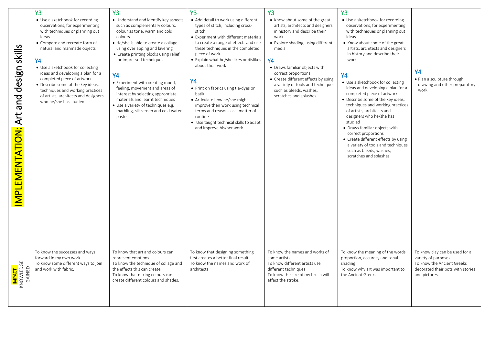| design skills<br>pue<br>Art<br>IMPLEMENTATION: | <b>Y3</b><br>• Use a sketchbook for recording<br>observations, for experimenting<br>with techniques or planning out<br>ideas<br>• Compare and recreate form of<br>natural and manmade objects<br>Υ4<br>• Use a sketchbook for collecting<br>ideas and developing a plan for a<br>completed piece of artwork<br>• Describe some of the key ideas,<br>techniques and working practices<br>of artists, architects and designers<br>who he/she has studied | <b>Y3</b><br>• Understand and identify key aspects<br>such as complementary colours,<br>colour as tone, warm and cold<br>colours<br>• He/she is able to create a collage<br>using overlapping and layering<br>• Create printing blocks using relief<br>or impressed techniques<br>Y4<br>• Experiment with creating mood,<br>feeling, movement and areas of<br>interest by selecting appropriate<br>materials and learnt techniques<br>• Use a variety of techniques e.g.<br>marbling, silkscreen and cold water<br>paste | <b>Y3</b><br>• Add detail to work using different<br>types of stitch, including cross-<br>stitch<br>• Experiment with different materials<br>to create a range of effects and use<br>these techniques in the completed<br>piece of work<br>• Explain what he/she likes or dislikes<br>about their work<br><b>Y4</b><br>• Print on fabrics using tie-dyes or<br>batik<br>• Articulate how he/she might<br>improve their work using technical<br>terms and reasons as a matter of<br>routine<br>• Use taught technical skills to adapt<br>and improve his/her work | <b>Y3</b><br>• Know about some of the great<br>artists, architects and designers<br>in history and describe their<br>work<br>• Explore shading, using different<br>media<br>Y4<br>• Draws familiar objects with<br>correct proportions<br>• Create different effects by using<br>a variety of tools and techniques<br>such as bleeds, washes,<br>scratches and splashes | Y <sub>3</sub><br>• Use a sketchbook for recording<br>observations, for experimenting<br>with techniques or planning out<br>ideas<br>• Know about some of the great<br>artists, architects and designers<br>in history and describe their<br>work<br><b>Y4</b><br>• Use a sketchbook for collecting<br>ideas and developing a plan for a<br>completed piece of artwork<br>• Describe some of the key ideas,<br>techniques and working practices<br>of artists, architects and<br>designers who he/she has<br>studied<br>• Draws familiar objects with<br>correct proportions<br>• Create different effects by using<br>a variety of tools and techniques<br>such as bleeds, washes,<br>scratches and splashes | <b>Y4</b><br>• Plan a sculpture through<br>drawing and other preparatory<br>work                                                           |
|------------------------------------------------|--------------------------------------------------------------------------------------------------------------------------------------------------------------------------------------------------------------------------------------------------------------------------------------------------------------------------------------------------------------------------------------------------------------------------------------------------------|--------------------------------------------------------------------------------------------------------------------------------------------------------------------------------------------------------------------------------------------------------------------------------------------------------------------------------------------------------------------------------------------------------------------------------------------------------------------------------------------------------------------------|------------------------------------------------------------------------------------------------------------------------------------------------------------------------------------------------------------------------------------------------------------------------------------------------------------------------------------------------------------------------------------------------------------------------------------------------------------------------------------------------------------------------------------------------------------------|-------------------------------------------------------------------------------------------------------------------------------------------------------------------------------------------------------------------------------------------------------------------------------------------------------------------------------------------------------------------------|---------------------------------------------------------------------------------------------------------------------------------------------------------------------------------------------------------------------------------------------------------------------------------------------------------------------------------------------------------------------------------------------------------------------------------------------------------------------------------------------------------------------------------------------------------------------------------------------------------------------------------------------------------------------------------------------------------------|--------------------------------------------------------------------------------------------------------------------------------------------|
| I <mark>mpact –</mark><br>Knowledge<br>Gained  | To know the successes and ways<br>forward in my own work.<br>To know some different ways to join<br>and work with fabric.                                                                                                                                                                                                                                                                                                                              | To know that art and colours can<br>represent emotions<br>To know the technique of collage and<br>the effects this can create.<br>To know that mixing colours can<br>create different colours and shades.                                                                                                                                                                                                                                                                                                                | To know that designing something<br>first creates a better final result.<br>To know the names and work of<br>architects                                                                                                                                                                                                                                                                                                                                                                                                                                          | To know the names and works of<br>some artists.<br>To know different artists use<br>different techniques<br>To know the size of my brush will<br>affect the stroke.                                                                                                                                                                                                     | To know the meaning of the words<br>proportion, accuracy and tonal<br>shading.<br>To know why art was important to<br>the Ancient Greeks.                                                                                                                                                                                                                                                                                                                                                                                                                                                                                                                                                                     | To know clay can be used for a<br>variety of purposes.<br>To know the Ancient Greeks<br>decorated their pots with stories<br>and pictures. |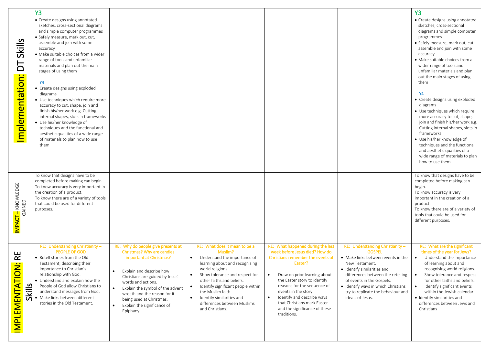| <b>Skills</b><br>Ъ                                                           | <b>Y3</b><br>• Create designs using annotated<br>sketches, cross-sectional diagrams<br>and simple computer programmes<br>· Safely measure, mark out, cut,<br>assemble and join with some<br>accuracy<br>· Make suitable choices from a wider<br>range of tools and unfamiliar<br>materials and plan out the main<br>stages of using them                      |                                                                                                                                                                                                                                                                                                                                           |                                                                                                                                                                                                                                                                                                                                                                                            |                                                                                                                                                                                                                                                                                                                                                                      |                                                                                                                                                                                                                                                                                                            | <b>Y3</b><br>• Create designs using annotated<br>sketches, cross-sectional<br>diagrams and simple computer<br>programmes<br>· Safely measure, mark out, cut,<br>assemble and join with some<br>accuracy<br>· Make suitable choices from a<br>wider range of tools and<br>unfamiliar materials and plan<br>out the main stages of using                                               |
|------------------------------------------------------------------------------|---------------------------------------------------------------------------------------------------------------------------------------------------------------------------------------------------------------------------------------------------------------------------------------------------------------------------------------------------------------|-------------------------------------------------------------------------------------------------------------------------------------------------------------------------------------------------------------------------------------------------------------------------------------------------------------------------------------------|--------------------------------------------------------------------------------------------------------------------------------------------------------------------------------------------------------------------------------------------------------------------------------------------------------------------------------------------------------------------------------------------|----------------------------------------------------------------------------------------------------------------------------------------------------------------------------------------------------------------------------------------------------------------------------------------------------------------------------------------------------------------------|------------------------------------------------------------------------------------------------------------------------------------------------------------------------------------------------------------------------------------------------------------------------------------------------------------|--------------------------------------------------------------------------------------------------------------------------------------------------------------------------------------------------------------------------------------------------------------------------------------------------------------------------------------------------------------------------------------|
| Implementation:                                                              | Υ4<br>• Create designs using exploded<br>diagrams<br>• Use techniques which require more<br>accuracy to cut, shape, join and<br>finish his/her work e.g. Cutting<br>internal shapes, slots in frameworks<br>• Use his/her knowledge of<br>techniques and the functional and<br>aesthetic qualities of a wide range<br>of materials to plan how to use<br>them |                                                                                                                                                                                                                                                                                                                                           |                                                                                                                                                                                                                                                                                                                                                                                            |                                                                                                                                                                                                                                                                                                                                                                      |                                                                                                                                                                                                                                                                                                            | them<br>Υ4<br>• Create designs using exploded<br>diagrams<br>• Use techniques which require<br>more accuracy to cut, shape,<br>join and finish his/her work e.g.<br>Cutting internal shapes, slots in<br>frameworks<br>• Use his/her knowledge of<br>techniques and the functional<br>and aesthetic qualities of a<br>wide range of materials to plan<br>how to use them             |
| <mark>IMPACT –</mark> KNOWLEDGE<br>GAINED                                    | To know that designs have to be<br>completed before making can begin.<br>To know accuracy is very important in<br>the creation of a product.<br>To know there are of a variety of tools<br>that could be used for different<br>purposes.                                                                                                                      |                                                                                                                                                                                                                                                                                                                                           |                                                                                                                                                                                                                                                                                                                                                                                            |                                                                                                                                                                                                                                                                                                                                                                      |                                                                                                                                                                                                                                                                                                            | To know that designs have to be<br>completed before making can<br>begin.<br>To know accuracy is very<br>important in the creation of a<br>product.<br>To know there are of a variety of<br>tools that could be used for<br>different purposes.                                                                                                                                       |
| $R_{\rm E}$<br>$\bullet$ $\bullet$<br><b>IMPLEMENTATION</b><br><b>Skills</b> | RE: Understanding Christianity-<br><b>PEOPLE OF GOD</b><br>• Retell stories from the Old<br>Testament, describing their<br>importance to Christian's<br>relationship with God.<br>• Understand and explain how the<br>People of God allow Christians to<br>understand messages from God.<br>Make links between different<br>stories in the Old Testament.     | RE: Why do people give presents at<br>Christmas? Why are candles<br>important at Christmas?<br>Explain and describe how<br>Christians are guided by Jesus'<br>words and actions.<br>Explain the symbol of the advent<br>wreath and the reason for it<br>being used at Christmas.<br>Explain the significance of<br>$\bullet$<br>Epiphany. | RE: What does it mean to be a<br>Muslim?<br>Understand the importance of<br>$\bullet$<br>learning about and recognising<br>world religions.<br>Show tolerance and respect for<br>$\bullet$<br>other faiths and beliefs.<br>Identify significant people within<br>$\bullet$<br>the Muslim faith<br>Identify similarities and<br>$\bullet$<br>differences between Muslims<br>and Christians. | RE: What happened during the last<br>week before Jesus died? How do<br>Christians remember the events of<br>Easter?<br>Draw on prior learning about<br>the Easter story to identify<br>reasons for the sequence of<br>events in the story.<br>Identify and describe ways<br>$\bullet$<br>that Christians mark Easter<br>and the significance of these<br>traditions. | RE: Understanding Christianity-<br><b>GOSPEL</b><br>• Make links between events in the<br>New Testament.<br>· Identify similarities and<br>differences between the retelling<br>of events in the Gospels.<br>• Identify ways in which Christians<br>try to replicate the behaviour and<br>ideals of Jesus. | RE: What are the significant<br>times of the year for Jews?<br>Understand the importance<br>$\bullet$<br>of learning about and<br>recognising world religions.<br>Show tolerance and respect<br>for other faiths and beliefs.<br>Identify significant events<br>$\bullet$<br>within the Jewish calendar<br>· Identify similarities and<br>differences between Jews and<br>Christians |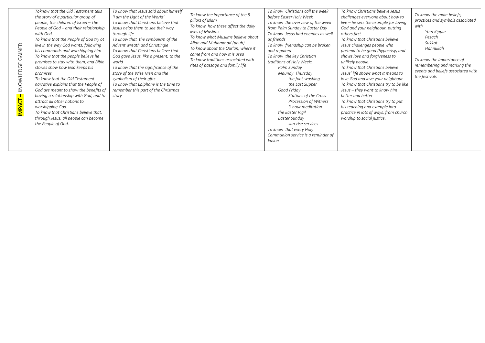| GAINED<br>KNOWLEDGE<br><b>IMPACT</b> | Toknow that the Old Testament tells<br>the story of a particular group of<br>people, the children of Israel - The<br>People of God - and their relationship<br>with God.<br>To know that the People of God try ot<br>live in the way God wants, following<br>his commands and worshipping him<br>To know that the people believe he<br>promises to stay with them, and Bible<br>stories show how God keeps his<br>promises<br>To know that the Old Testament<br>narrative explains that the People of<br>God are meant to show the benefits of<br>having a relationship with God, and to<br>attract all other nations to<br>worshipping God.<br>To know that Christians believe that,<br>through Jesus, all people can become<br>the People of God. | To know that Jesus said about himself<br>'I am the Light of the World'<br>To know that Christians believe that<br>Jesus helps them to see their way<br>through life<br>To know that the symbolism of the<br>Advent wreath and Christingle<br>To know that Christians believe that<br>God gave Jesus, like a present, to the<br>world<br>To know that the significance of the<br>story of the Wise Men and the<br>symbolism of their gifts<br>To know that Epiphany is the time to<br>remember this part of the Christmas<br>story | To know the importance of the 5<br>pillars of Islam<br>To know how these affect the daily<br>lives of Muslims<br>To know what Muslims believe about<br>Allah and Muhammad (pbuh)<br>To know about the Qur'an, where it<br>came from and how it is used<br>To know traditions associated with<br>rites of passage and family life | To know Christians call the week<br>before Easter Holy Week<br>To know the overview of the week<br>from Palm Sunday to Easter Day<br>To know Jesus had enemies as well<br>as friends<br>To know friendship can be broken<br>and repaired<br>To know the key Christian<br>traditions of Holy Week:<br>Palm Sunday<br>Maundy Thursday<br>the foot-washing<br>the Last Supper<br>Good Friday<br>Stations of the Cross<br>Procession of Witness<br>3-hour meditation<br>the Easter Vigil<br>Easter Sundav<br>sun-rise services<br>To know that every Holy<br>Communion service is a reminder of<br>Easter | To know Christians believe Jesus<br>challenges everyone about how to<br>live $-$ he sets the example for loving<br>God and your neighbour, putting<br>others first<br>To know that Christians believe<br>Jesus challenges people who<br>pretend to be good (hypocrisy) and<br>shows love and forgiveness to<br>unlikely people.<br>To know that Christians believe<br>Jesus' life shows what it means to<br>love God and love your neighbour<br>To know that Christians try to be like<br>Jesus - they want to know him<br>better and better<br>To know that Christians try to put<br>his teaching and example into<br>practice in lots of ways, from church<br>worship to social justice. | To know the main beliefs,<br>practices and symbols associated<br>with<br>Yom Kippur<br>Pesach<br>Sukkot<br>Hannukah<br>To know the importance of<br>remembering and marking the<br>events and beliefs associated with<br>the festivals |
|--------------------------------------|-----------------------------------------------------------------------------------------------------------------------------------------------------------------------------------------------------------------------------------------------------------------------------------------------------------------------------------------------------------------------------------------------------------------------------------------------------------------------------------------------------------------------------------------------------------------------------------------------------------------------------------------------------------------------------------------------------------------------------------------------------|-----------------------------------------------------------------------------------------------------------------------------------------------------------------------------------------------------------------------------------------------------------------------------------------------------------------------------------------------------------------------------------------------------------------------------------------------------------------------------------------------------------------------------------|----------------------------------------------------------------------------------------------------------------------------------------------------------------------------------------------------------------------------------------------------------------------------------------------------------------------------------|-------------------------------------------------------------------------------------------------------------------------------------------------------------------------------------------------------------------------------------------------------------------------------------------------------------------------------------------------------------------------------------------------------------------------------------------------------------------------------------------------------------------------------------------------------------------------------------------------------|--------------------------------------------------------------------------------------------------------------------------------------------------------------------------------------------------------------------------------------------------------------------------------------------------------------------------------------------------------------------------------------------------------------------------------------------------------------------------------------------------------------------------------------------------------------------------------------------------------------------------------------------------------------------------------------------|----------------------------------------------------------------------------------------------------------------------------------------------------------------------------------------------------------------------------------------|
|--------------------------------------|-----------------------------------------------------------------------------------------------------------------------------------------------------------------------------------------------------------------------------------------------------------------------------------------------------------------------------------------------------------------------------------------------------------------------------------------------------------------------------------------------------------------------------------------------------------------------------------------------------------------------------------------------------------------------------------------------------------------------------------------------------|-----------------------------------------------------------------------------------------------------------------------------------------------------------------------------------------------------------------------------------------------------------------------------------------------------------------------------------------------------------------------------------------------------------------------------------------------------------------------------------------------------------------------------------|----------------------------------------------------------------------------------------------------------------------------------------------------------------------------------------------------------------------------------------------------------------------------------------------------------------------------------|-------------------------------------------------------------------------------------------------------------------------------------------------------------------------------------------------------------------------------------------------------------------------------------------------------------------------------------------------------------------------------------------------------------------------------------------------------------------------------------------------------------------------------------------------------------------------------------------------------|--------------------------------------------------------------------------------------------------------------------------------------------------------------------------------------------------------------------------------------------------------------------------------------------------------------------------------------------------------------------------------------------------------------------------------------------------------------------------------------------------------------------------------------------------------------------------------------------------------------------------------------------------------------------------------------------|----------------------------------------------------------------------------------------------------------------------------------------------------------------------------------------------------------------------------------------|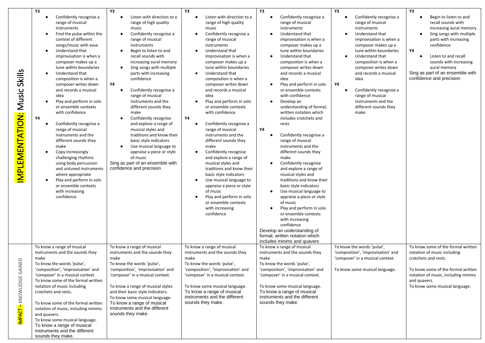|                                          | Y3                                                                                                                                                                                                                                                                                                                                                                                                                                                                                                                                                                                                                                                                                                                                                                                                                                                 | Y3                                                                                                                                                                                                                                                                                                                                                                                                                                                                                                                                                                                                                                                                                                    | Y3                                                                                                                                                                                                                                                                                                                                                                                                                                                                                                                                                                                                                                                                                                                                                                                                                                                              | Y3                                                                                                                                                                                                                                                                                                                                                                                                                                                                                                                                                                                                                                                                                                                                                                                                                                                                                                                                                                                                                  | Y3                                                                                                                                                                                                                                                                                                                                                                                       | Y3                                                                                                                                                                                                                                                                                 |
|------------------------------------------|----------------------------------------------------------------------------------------------------------------------------------------------------------------------------------------------------------------------------------------------------------------------------------------------------------------------------------------------------------------------------------------------------------------------------------------------------------------------------------------------------------------------------------------------------------------------------------------------------------------------------------------------------------------------------------------------------------------------------------------------------------------------------------------------------------------------------------------------------|-------------------------------------------------------------------------------------------------------------------------------------------------------------------------------------------------------------------------------------------------------------------------------------------------------------------------------------------------------------------------------------------------------------------------------------------------------------------------------------------------------------------------------------------------------------------------------------------------------------------------------------------------------------------------------------------------------|-----------------------------------------------------------------------------------------------------------------------------------------------------------------------------------------------------------------------------------------------------------------------------------------------------------------------------------------------------------------------------------------------------------------------------------------------------------------------------------------------------------------------------------------------------------------------------------------------------------------------------------------------------------------------------------------------------------------------------------------------------------------------------------------------------------------------------------------------------------------|---------------------------------------------------------------------------------------------------------------------------------------------------------------------------------------------------------------------------------------------------------------------------------------------------------------------------------------------------------------------------------------------------------------------------------------------------------------------------------------------------------------------------------------------------------------------------------------------------------------------------------------------------------------------------------------------------------------------------------------------------------------------------------------------------------------------------------------------------------------------------------------------------------------------------------------------------------------------------------------------------------------------|------------------------------------------------------------------------------------------------------------------------------------------------------------------------------------------------------------------------------------------------------------------------------------------------------------------------------------------------------------------------------------------|------------------------------------------------------------------------------------------------------------------------------------------------------------------------------------------------------------------------------------------------------------------------------------|
| Skills<br>Music<br><b>MPLEMENTATION:</b> | Confidently recognise a<br>$\bullet$<br>range of musical<br>instruments<br>Find the pulse within the<br>$\bullet$<br>context of different<br>songs/music with ease<br>Understand that<br>$\bullet$<br>improvisation is when a<br>composer makes up a<br>tune within boundaries<br>Understand that<br>$\bullet$<br>composition is when a<br>composer writes down<br>and records a musical<br>idea<br>Play and perform in solo<br>$\bullet$<br>or ensemble contexts<br>with confidence<br>Υ4<br>Confidently recognise a<br>$\bullet$<br>range of musical<br>instruments and the<br>different sounds they<br>make<br>Copy increasingly<br>$\bullet$<br>challenging rhythms<br>using body percussion<br>and untuned instruments<br>where appropriate<br>Play and perform in solo<br>$\bullet$<br>or ensemble contexts<br>with increasing<br>confidence | Listen with direction to a<br>$\bullet$<br>range of high quality<br>music<br>Confidently recognise a<br>$\bullet$<br>range of musical<br>instruments<br>Begin to listen to and<br>recall sounds with<br>increasing aural memory<br>Sing songs with multiple<br>$\bullet$<br>parts with increasing<br>confidence<br>Υ4<br>Confidently recognise a<br>range of musical<br>instruments and the<br>different sounds they<br>make<br>Confidently recognise<br>and explore a range of<br>musical styles and<br>traditions and know their<br>basic style indicators<br>Use musical language to<br>٠<br>appraise a piece or style<br>of music<br>Sing as part of an ensemble with<br>confidence and precision | Listen with direction to a<br>$\bullet$<br>range of high quality<br>music<br>Confidently recognise a<br>$\bullet$<br>range of musical<br>instruments<br>Understand that<br>improvisation is when a<br>composer makes up a<br>tune within boundaries<br>Understand that<br>$\bullet$<br>composition is when a<br>composer writes down<br>and records a musical<br>idea<br>Play and perform in solo<br>or ensemble contexts<br>with confidence<br>Υ4<br>Confidently recognise a<br>range of musical<br>instruments and the<br>different sounds they<br>make<br>Confidently recognise<br>and explore a range of<br>musical styles and<br>traditions and know their<br>basic style indicators<br>Use musical language to<br>appraise a piece or style<br>of music<br>Play and perform in solo<br>$\bullet$<br>or ensemble contexts<br>with increasing<br>confidence | Confidently recognise a<br>$\bullet$<br>range of musical<br>instruments<br>Understand that<br>$\bullet$<br>improvisation is when a<br>composer makes up a<br>tune within boundaries<br>Understand that<br>composition is when a<br>composer writes down<br>and records a musical<br>idea<br>Play and perform in solo<br>or ensemble contexts<br>with confidence<br>Develop an<br>$\bullet$<br>understanding of formal,<br>written notation which<br>includes crotchets and<br>rests<br>Υ4<br>Confidently recognise a<br>$\bullet$<br>range of musical<br>instruments and the<br>different sounds they<br>make<br>Confidently recognise<br>and explore a range of<br>musical styles and<br>traditions and know their<br>basic style indicators<br>Use musical language to<br>$\bullet$<br>appraise a piece or style<br>of music<br>Play and perform in solo<br>or ensemble contexts<br>with increasing<br>confidence<br>Develop an understanding of<br>formal, written notation which<br>includes minims and quavers | Confidently recognise a<br>$\bullet$<br>range of musical<br>instruments<br>Understand that<br>improvisation is when a<br>composer makes up a<br>tune within boundaries<br>Understand that<br>composition is when a<br>composer writes down<br>and records a musical<br>idea<br>Υ4<br>Confidently recognise a<br>range of musical<br>instruments and the<br>different sounds they<br>make | Begin to listen to and<br>recall sounds with<br>increasing aural memory<br>Sing songs with multiple<br>parts with increasing<br>confidence<br>Υ4<br>Listen to and recall<br>sounds with increasing<br>aural memory<br>Sing as part of an ensemble with<br>confidence and precision |
| MPACT – KNOWLEDGE GAINED                 | To know a range of musical<br>instruments and the sounds they<br>make<br>To know the words 'pulse',<br>'composition', 'improvisation' and<br>'composer' in a musical context.<br>To know some of the formal written<br>notation of music including<br>crotchets and rests.<br>To know some of the formal written<br>notation of music, including minims<br>and quavers.<br>To know some musical language.<br>To know a range of musical<br>instruments and the different<br>sounds they make.                                                                                                                                                                                                                                                                                                                                                      | To know a range of musical<br>instruments and the sounds they<br>make<br>To know the words 'pulse',<br>'composition', 'improvisation' and<br>'composer' in a musical context.<br>To know a range of musical styles<br>and their basic style indicators.<br>To know some musical language.<br>To know a range of musical<br>instruments and the different<br>sounds they make.                                                                                                                                                                                                                                                                                                                         | To know a range of musical<br>instruments and the sounds they<br>make<br>To know the words 'pulse',<br>'composition', 'improvisation' and<br>'composer' in a musical context.<br>To know some musical language.<br>To know a range of musical<br>instruments and the different<br>sounds they make.                                                                                                                                                                                                                                                                                                                                                                                                                                                                                                                                                             | To know a range of musical<br>instruments and the sounds they<br>make<br>To know the words 'pulse',<br>'composition', 'improvisation' and<br>'composer' in a musical context.<br>To know some musical language.<br>To know a range of musical<br>instruments and the different<br>sounds they make.                                                                                                                                                                                                                                                                                                                                                                                                                                                                                                                                                                                                                                                                                                                 | To know the words 'pulse',<br>'composition', 'improvisation' and<br>'composer' in a musical context.<br>To know some musical language.                                                                                                                                                                                                                                                   | To know some of the formal written<br>notation of music including<br>crotchets and rests.<br>To know some of the formal written<br>notation of music, including minims<br>and quavers.<br>To know some musical language.                                                           |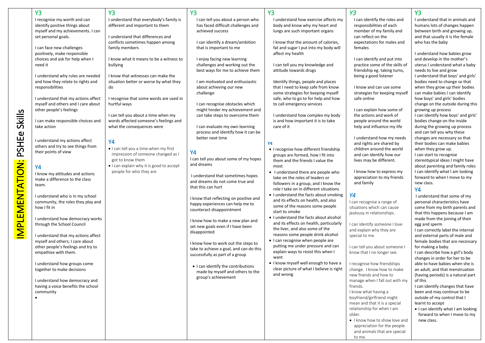|                        | <b>Y3</b>                           | <b>Y3</b>                                | <b>Y3</b>                               | <b>Y3</b>                                | <b>Y3</b>                      | <b>Y3</b>                           |
|------------------------|-------------------------------------|------------------------------------------|-----------------------------------------|------------------------------------------|--------------------------------|-------------------------------------|
|                        | I recognise my worth and can        | I understand that everybody's family is  | I can tell you about a person who       | I understand how exercise affects my     | I can identify the roles and   | I understand that in animals and    |
|                        | identify positive things about      | different and important to them          | has faced difficult challenges and      | body and know why my heart and           | responsibilities of each       | humans lots of changes happen       |
|                        | myself and my achievements. I can   |                                          | achieved success                        | lungs are such important organs          | member of my family and        | between birth and growing up,       |
|                        | set personal goals.                 | Lunderstand that differences and         |                                         |                                          | can reflect on the             | and that usually it is the female   |
|                        |                                     | conflicts sometimes happen among         | I can identify a dream/ambition         | I know that the amount of calories,      | expectations for males and     | who has the baby                    |
|                        | I can face new challenges           | family members                           | that is important to me                 | fat and sugar I put into my body will    | females                        |                                     |
|                        | positively, make responsible        |                                          |                                         | affect my health                         |                                | I understand how babies grow        |
|                        | choices and ask for help when I     | I know what it means to be a witness to  | I enjoy facing new learning             |                                          | I can identify and put into    | and develop in the mother's         |
|                        | need it                             | bullying                                 | challenges and working out the          | I can tell you my knowledge and          | practice some of the skills of | uterus I understand what a baby     |
|                        |                                     |                                          | best ways for me to achieve them        | attitude towards drugs                   | friendship eg. taking turns,   | needs to live and grow              |
|                        | I understand why rules are needed   | I know that witnesses can make the       |                                         |                                          | being a good listener          | I understand that boys' and girls'  |
|                        | and how they relate to rights and   | situation better or worse by what they   | I am motivated and enthusiastic         | Identify things, people and places       |                                | bodies need to change so that       |
|                        | responsibilities                    | do                                       | about achieving our new                 | that I need to keep safe from know       | I know and can use some        | when they grow up their bodies      |
|                        |                                     |                                          | challenge                               | some strategies for keeping myself       | strategies for keeping myself  | can make babies I can identify      |
|                        | I understand that my actions affect | I recognise that some words are used in  |                                         | safe, who to go to for help and how      | safe online                    | how boys' and girls' bodies         |
|                        | myself and others and I care about  | hurtful ways                             | I can recognise obstacles which         | to call emergency services               |                                | change on the outside during this   |
|                        | other people's feelings             |                                          | might hinder my achievement and         |                                          | I can explain how some of      | growing up process                  |
|                        |                                     | I can tell you about a time when my      | can take steps to overcome them         | I understand how complex my body         | the actions and work of        | I can identify how boys' and girls' |
|                        | I can make responsible choices and  | words affected someone's feelings and    |                                         | is and how important it is to take       | people around the world        | bodies change on the inside         |
| Skills                 | take action                         | what the consequences were               | I can evaluate my own learning          | care of it                               | help and influence my life     | during the growing up process       |
|                        |                                     |                                          | process and identify how it can be      |                                          |                                | and can tell you why these          |
| PSHEe                  |                                     |                                          | better next time                        |                                          | I understand how my needs      | changes are necessary so that       |
|                        | I understand my actions affect      | <b>Y4</b>                                |                                         | <b>Y4</b>                                | and rights are shared by       | their bodies can make babies        |
|                        | others and try to see things from   | . I can tell you a time when my first    |                                         | • I recognise how different friendship   | children around the world      | when they grow up.                  |
|                        | their points of view                | impression of someone changed as I       | <b>Y4</b>                               | groups are formed, how I fit into        | and can identify how our       | I can start to recognise            |
|                        |                                     | got to know them                         | I can tell you about some of my hopes   | them and the friends I value the         | lives may be different.        | stereotypical ideas I might have    |
|                        | <b>Y4</b>                           | • I can explain why it is good to accept | and dreams                              | most                                     |                                | about parenting and family roles    |
|                        | I know my attitudes and actions     | people for who they are                  |                                         | • I understand there are people who      | I know how to express my       | I can identify what I am looking    |
|                        | make a difference to the class      |                                          | I understand that sometimes hopes       | take on the roles of leaders or          | appreciation to my friends     | forward to when I move to my        |
|                        | team.                               |                                          | and dreams do not come true and         | followers in a group, and I know the     | and family                     | new class.                          |
|                        |                                     |                                          | that this can hurt                      | role I take on in different situations   |                                | <b>Y4</b>                           |
| <b>IMPLEMENTATION:</b> | I understand who is in my school    |                                          |                                         | • I understand the facts about smoking   | Y4                             | I understand that some of my        |
|                        | community, the roles they play and  |                                          | I know that reflecting on positive and  | and its effects on health, and also      | I can recognise a range of     | personal characteristics have       |
|                        | how I fit in                        |                                          | happy experiences can help me to        | some of the reasons some people          | situations which can cause     | come from my birth parents and      |
|                        |                                     |                                          | counteract disappointment               | start to smoke                           | jealousy in relationships.     | that this happens because I am      |
|                        | I understand how democracy works    |                                          | I know how to make a new plan and       | • I understand the facts about alcohol   |                                | made from the joining of their      |
|                        | through the School Council          |                                          | set new goals even if I have been       | and its effects on health, particularly  | I can identify someone I love  | egg and sperm                       |
|                        |                                     |                                          | disappointed                            | the liver, and also some of the          | and explain why they are       | I can correctly label the internal  |
|                        | I understand that my actions affect |                                          |                                         | reasons some people drink alcohol        | special to me.                 | and external parts of male and      |
|                        | myself and others; I care about     |                                          | I know how to work out the steps to     | • I can recognise when people are        |                                | female bodies that are necessary    |
|                        | other people's feelings and try to  |                                          | take to achieve a goal, and can do this | putting me under pressure and can        | I can tell you about someone   | for making a baby.                  |
|                        | empathise with them.                |                                          | successfully as part of a group         | explain ways to resist this when I       | know that I no longer see.     | I can describe how a girl's body    |
|                        |                                     |                                          |                                         | want                                     |                                | changes in order for her to be      |
|                        | I understand how groups come        |                                          | • I can identify the contributions      | • I know myself well enough to have a    | I recognise how friendships    | able to have babies when she is     |
|                        | together to make decisions          |                                          | made by myself and others to the        | clear picture of what I believe is right | change. I know how to make     | an adult, and that menstruation     |
|                        |                                     |                                          | group's achievement                     | and wrong                                | new friends and how to         | (having periods) is a natural part  |
|                        | I understand how democracy and      |                                          |                                         |                                          | manage when I fall out with my | of this                             |
|                        | having a voice benefits the school  |                                          |                                         |                                          | friends.                       | I can identify changes that have    |
|                        | community                           |                                          |                                         |                                          | I know what having a           | been and may continue to be         |
|                        | $\bullet$                           |                                          |                                         |                                          | boyfriend/girlfriend might     | outside of my control that I        |
|                        |                                     |                                          |                                         |                                          | mean and that it is a special  | learnt to accept                    |
|                        |                                     |                                          |                                         |                                          | relationship for when I am     | • I can identify what I am looking  |
|                        |                                     |                                          |                                         |                                          | older.                         | forward to when I move to my        |
|                        |                                     |                                          |                                         |                                          | . I know how to show love and  | new class.                          |
|                        |                                     |                                          |                                         |                                          | appreciation for the people    |                                     |
|                        |                                     |                                          |                                         |                                          | and animals that are special   |                                     |
|                        |                                     |                                          |                                         |                                          | to me.                         |                                     |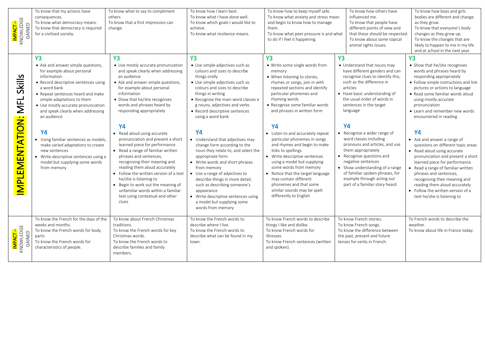| I <mark>mpact –</mark><br>Knowledge<br>Gained | To know that my actions have<br>consequences.<br>To know what democracy means.<br>To know that democracy is required<br>for a civilised society.                                                                                                                                                                  | To know what to say to compliment<br>others.<br>To know that a first impression can<br>change.                                                                                                                                                                                                                                                                                                                                  | To know how I learn best.<br>To know what I have done well.<br>To know which goals I would like to<br>achieve.<br>To know what resilience means.                                                                                                                                                                                                                                                        | To know how to keep myself safe.<br>To know what anxiety and stress mean<br>and begin to know how to manage<br>them.<br>To know what peer pressure is and what<br>to do if I feel it happening.                                                                                                                                                                    | To know how others have<br>influenced me.<br>To know that people have<br>different points of view and<br>that these should be respected<br>To know about some topical<br>animal rights issues.                                                                                                          | To know how boys and girls<br>bodies are different and change<br>as they grow.<br>To know that everyone's body<br>changes as they grow up.<br>To know the changes that are<br>likely to happen to me in my life<br>and at school in the next year.                                                                                                                                        |
|-----------------------------------------------|-------------------------------------------------------------------------------------------------------------------------------------------------------------------------------------------------------------------------------------------------------------------------------------------------------------------|---------------------------------------------------------------------------------------------------------------------------------------------------------------------------------------------------------------------------------------------------------------------------------------------------------------------------------------------------------------------------------------------------------------------------------|---------------------------------------------------------------------------------------------------------------------------------------------------------------------------------------------------------------------------------------------------------------------------------------------------------------------------------------------------------------------------------------------------------|--------------------------------------------------------------------------------------------------------------------------------------------------------------------------------------------------------------------------------------------------------------------------------------------------------------------------------------------------------------------|---------------------------------------------------------------------------------------------------------------------------------------------------------------------------------------------------------------------------------------------------------------------------------------------------------|-------------------------------------------------------------------------------------------------------------------------------------------------------------------------------------------------------------------------------------------------------------------------------------------------------------------------------------------------------------------------------------------|
| <b>Skills</b><br><b>NFL</b>                   | <b>Y3</b><br>• Ask and answer simple questions,<br>for example about personal<br>information<br>• Record descriptive sentences using<br>a word bank<br>• Repeat sentences heard and make<br>simple adaptations to them<br>• Use mostly accurate pronunciation<br>and speak clearly when addressing<br>an audience | <b>Y3</b><br>• Use mostly accurate pronunciation<br>and speak clearly when addressing<br>an audience<br>• Ask and answer simple questions,<br>for example about personal<br>information<br>• Show that he/she recognises<br>words and phrases heard by<br>responding appropriately<br><b>Y4</b>                                                                                                                                 | <b>Y3</b><br>• Use simple adjectives such as<br>colours and sizes to describe<br>things orally<br>• Use simple adjectives such as<br>colours and sizes to describe<br>things in writing<br>• Recognise the main word classes e<br>g nouns, adjectives and verbs<br>• Record descriptive sentences<br>using a word bank                                                                                  | <b>Y3</b><br>• Write some single words from<br>memory<br>• When listening to stories,<br>rhymes or songs, join in with<br>repeated sections and identify<br>particular phonemes and<br>rhyming words<br>• Recognise some familiar words<br>and phrases in written form<br><b>Y4</b>                                                                                | Y <sub>3</sub><br>• Understand that nouns may<br>have different genders and can<br>recognise clues to identify this,<br>such as the difference in<br>articles<br>• Have basic understanding of<br>the usual order of words in<br>sentences in the target<br>language<br><b>Y4</b>                       | <b>Y3</b><br>• Show that he/she recognises<br>words and phrases heard by<br>responding appropriately<br>• Follow simple instructions and link<br>pictures or actions to language<br>• Read some familiar words aloud<br>using mostly accurate<br>pronunciation<br>• Learn and remember new words<br>encountered in reading                                                                |
| IMPLEMENTATION:                               | <b>Y4</b><br>Using familiar sentences as models,<br>make varied adaptations to create<br>new sentences<br>Write descriptive sentences using a<br>model but supplying some words<br>from memory                                                                                                                    | • Read aloud using accurate<br>pronunciation and present a short<br>learned piece for performance<br>• Read a range of familiar written<br>phrases and sentences,<br>recognising their meaning and<br>reading them aloud accurately<br>• Follow the written version of a text<br>he/she is listening to<br>• Begin to work out the meaning of<br>unfamiliar words within a familiar<br>text using contextual and other<br>clues | <b>Y4</b><br>• Understand that adjectives may<br>change form according to the<br>noun they relate to, and select the<br>appropriate form<br>• Write words and short phrases<br>from memory<br>• Use a range of adjectives to<br>describe things in more detail,<br>such as describing someone's<br>appearance<br>• Write descriptive sentences using<br>a model but supplying some<br>words from memory | • Listen to and accurately repeat<br>particular phonemes in songs<br>and rhymes and begin to make<br>links to spellings<br>• Write descriptive sentences<br>using a model but supplying<br>some words from memory<br>• Notice that the target language<br>may contain different<br>phonemes and that some<br>similar sounds may be spelt<br>differently to English | • Recognise a wider range of<br>word classes including<br>pronouns and articles, and use<br>them appropriately<br>• Recognise questions and<br>negative sentences<br>• Show understanding of a range<br>of familiar spoken phrases, for<br>example through acting out<br>part of a familiar story heard | <b>Y4</b><br>• Ask and answer a range of<br>questions on different topic areas<br>• Read aloud using accurate<br>pronunciation and present a short<br>learned piece for performance<br>• Read a range of familiar written<br>phrases and sentences,<br>recognising their meaning and<br>reading them aloud accurately<br>• Follow the written version of a<br>text he/she is listening to |
| I <mark>mpact –</mark><br>Knowledge<br>Gained | To know the French for the days of the<br>weeks and months.<br>To know the French words for body<br>parts<br>To know the French words for<br>characteristics of people.                                                                                                                                           | To know about French Christmas<br>traditions.<br>To know the French words for key<br>Christmas words.<br>To know the French words to<br>describe families and family<br>members.                                                                                                                                                                                                                                                | To know the French words to<br>describe where I live.<br>To know the French words to<br>describe what can be found in my<br>town.                                                                                                                                                                                                                                                                       | To know French words to describe<br>things I like and dislike.<br>To know French words for<br>illnesses.<br>To know French sentences (written<br>and spoken).                                                                                                                                                                                                      | To know French stories.<br>To know French songs.<br>To know the difference between<br>the past, present and future<br>tenses for verbs in French.                                                                                                                                                       | To French words to describe the<br>weather.<br>To know about life in France today.                                                                                                                                                                                                                                                                                                        |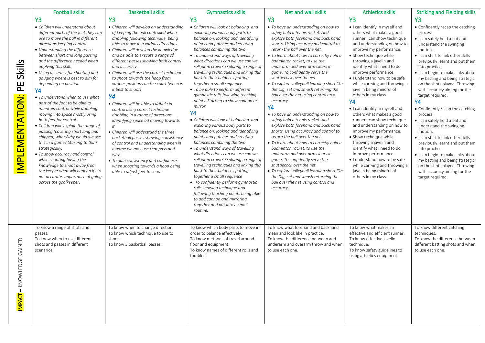|                                                  | <b>Football skills</b>                                                                                                                                                                                                                                                                                                                                                                                                                                                                                                                                                                                                                                                                                                                                                                                                                                                                                                                                 | <b>Basketball skills</b>                                                                                                                                                                                                                                                                                                                                                                                                                                                                                                                                                                                                                                                                                                                                                                                                                                                                                                             | <b>Gymnastics skills</b>                                                                                                                                                                                                                                                                                                                                                                                                                                                                                                                                                                                                                                                                                                                                                                                                                                                                                                                                                                                                                                                                                                                                                        | Net and wall skills                                                                                                                                                                                                                                                                                                                                                                                                                                                                                                                                                                                                                                                                                                                                                                                                                                                                                                                                                                                                                                                 | <b>Athletics skills</b>                                                                                                                                                                                                                                                                                                                                                                                                                                                                                                                                                                                                                                                                                                                                                                     | <b>Striking and Fielding skills</b>                                                                                                                                                                                                                                                                                                                                                                                                                                                                                                                                                                                                                                                                                                                                                   |
|--------------------------------------------------|--------------------------------------------------------------------------------------------------------------------------------------------------------------------------------------------------------------------------------------------------------------------------------------------------------------------------------------------------------------------------------------------------------------------------------------------------------------------------------------------------------------------------------------------------------------------------------------------------------------------------------------------------------------------------------------------------------------------------------------------------------------------------------------------------------------------------------------------------------------------------------------------------------------------------------------------------------|--------------------------------------------------------------------------------------------------------------------------------------------------------------------------------------------------------------------------------------------------------------------------------------------------------------------------------------------------------------------------------------------------------------------------------------------------------------------------------------------------------------------------------------------------------------------------------------------------------------------------------------------------------------------------------------------------------------------------------------------------------------------------------------------------------------------------------------------------------------------------------------------------------------------------------------|---------------------------------------------------------------------------------------------------------------------------------------------------------------------------------------------------------------------------------------------------------------------------------------------------------------------------------------------------------------------------------------------------------------------------------------------------------------------------------------------------------------------------------------------------------------------------------------------------------------------------------------------------------------------------------------------------------------------------------------------------------------------------------------------------------------------------------------------------------------------------------------------------------------------------------------------------------------------------------------------------------------------------------------------------------------------------------------------------------------------------------------------------------------------------------|---------------------------------------------------------------------------------------------------------------------------------------------------------------------------------------------------------------------------------------------------------------------------------------------------------------------------------------------------------------------------------------------------------------------------------------------------------------------------------------------------------------------------------------------------------------------------------------------------------------------------------------------------------------------------------------------------------------------------------------------------------------------------------------------------------------------------------------------------------------------------------------------------------------------------------------------------------------------------------------------------------------------------------------------------------------------|---------------------------------------------------------------------------------------------------------------------------------------------------------------------------------------------------------------------------------------------------------------------------------------------------------------------------------------------------------------------------------------------------------------------------------------------------------------------------------------------------------------------------------------------------------------------------------------------------------------------------------------------------------------------------------------------------------------------------------------------------------------------------------------------|---------------------------------------------------------------------------------------------------------------------------------------------------------------------------------------------------------------------------------------------------------------------------------------------------------------------------------------------------------------------------------------------------------------------------------------------------------------------------------------------------------------------------------------------------------------------------------------------------------------------------------------------------------------------------------------------------------------------------------------------------------------------------------------|
|                                                  |                                                                                                                                                                                                                                                                                                                                                                                                                                                                                                                                                                                                                                                                                                                                                                                                                                                                                                                                                        |                                                                                                                                                                                                                                                                                                                                                                                                                                                                                                                                                                                                                                                                                                                                                                                                                                                                                                                                      |                                                                                                                                                                                                                                                                                                                                                                                                                                                                                                                                                                                                                                                                                                                                                                                                                                                                                                                                                                                                                                                                                                                                                                                 |                                                                                                                                                                                                                                                                                                                                                                                                                                                                                                                                                                                                                                                                                                                                                                                                                                                                                                                                                                                                                                                                     |                                                                                                                                                                                                                                                                                                                                                                                                                                                                                                                                                                                                                                                                                                                                                                                             |                                                                                                                                                                                                                                                                                                                                                                                                                                                                                                                                                                                                                                                                                                                                                                                       |
| <b>Skills</b><br>E<br><b>IMPLEMENTATION:</b>     | <b>Y3</b><br>• Children will understand about<br>different parts of the feet they can<br>use to move the ball in different<br>directions keeping control.<br>• Understanding the difference<br>between short and long passing<br>and the difference needed when<br>applying this skill.<br>• Using accuracy for shooting and<br>gauging where is best to aim for<br>depending on position<br><b>Y4</b><br>• To understand when to use what<br>part of the foot to be able to<br>maintain control while dribbling<br>moving into space mostly using<br>both feet for control.<br>• Children will explain the range of<br>passing (covering short long and<br>chipped) when/why would we use<br>this in a game? Starting to think<br>strategically.<br>• To show accuracy and control<br>while shooting having the<br>knowledge to shoot away from<br>the keeper what will happen if it's<br>not accurate. Importance of going<br>across the goalkeeper. | <b>Y3</b><br>• Children will develop an understanding<br>of keeping the ball controlled when<br>dribbling following technique, being<br>able to move in a various directions.<br>• Children will develop the knowledge<br>and be able to execute a range of<br>different passes showing both control<br>and accuracy.<br>• Children will use the correct technique<br>to shoot towards the hoop from<br>various positions on the court (when is<br>it best to shoot)<br><b>Y4</b><br>• Children will be able to dribble in<br>control using correct technique<br>dribbling in a range of directions<br>Identifying space ad moving towards<br>it.<br>• Children will understand the three<br>basketball passes showing consistency<br>of control and understanding when in<br>a game we may use that pass and<br>why.<br>• To gain consistency and confidence<br>when shooting towards a hoop being<br>able to adjust feet to shoot. | <b>Y3</b><br>• Children will look at balancing and<br>exploring various body parts to<br>balance on, looking and identifying<br>points and patches and creating<br>balances combining the two.<br>• To understand ways of travelling<br>what directions can we use can we<br>roll jump crawl? Exploring a range of<br>travelling techniques and linking this<br>back to their balances putting<br>together a small sequence.<br>• To be able to perform different<br>gymnastic rolls following teaching<br>points. Starting to show cannon or<br>mirror.<br><b>Y4</b><br>• Children will look at balancing and<br>exploring various body parts to<br>balance on, looking and identifying<br>points and patches and creating<br>balances combining the two<br>• To understand ways of travelling<br>what directions can we use can we<br>roll jump crawl? Exploring a range of<br>travelling techniques and linking this<br>back to their balances putting<br>together a small sequence<br>• To confidently perform gymnastic<br>rolls showing technique and<br>following teaching points being able<br>to add cannon and mirroring<br>together and put into a small<br>routine. | <b>Y3</b><br>• To have an understanding on how to<br>safely hold a tennis racket. And<br>explore both forehand and back hand<br>shorts. Using accuracy and control to<br>return the ball over the net.<br>• To learn about how to correctly hold a<br>badminton racket, to use the<br>underarm and over arm clears in<br>game. To confidently serve the<br>shuttlecock over the net.<br>• To explore volleyball learning short like<br>the Dig, set and smash returning the<br>ball over the net using control an d<br>accuracy.<br><b>Y4</b><br>• To have an understanding on how to<br>safely hold a tennis racket. And<br>explore both forehand and back hand<br>shorts. Using accuracy and control to<br>return the ball over the net.<br>• To learn about how to correctly hold a<br>badminton racket, to use the<br>underarm and over arm clears in<br>game. To confidently serve the<br>shuttlecock over the net.<br>• To explore volleyball learning short like<br>the Dig, set and smash returning the<br>ball over the net using control and<br>accuracy. | <b>Y3</b><br>. I can identify in myself and<br>others what makes a good<br>runner I can show technique<br>and understanding on how to<br>improve my performance.<br>• Show technique while<br>throwing a javelin and<br>identify what I need to do<br>improve performance.<br>. I understand how to be safe<br>while carrying and throwing a<br>javelin being mindful of<br>others in my class.<br>Y4<br>. I can identify in myself and<br>others what makes a good<br>runner I can show technique<br>and understanding on how to<br>improve my performance.<br>· Show technique while<br>throwing a javelin and<br>identify what I need to do<br>improve performance.<br>. I understand how to be safe<br>while carrying and throwing a<br>javelin being mindful of<br>others in my class. | Y <sub>3</sub><br>• Confidently recap the catching<br>process.<br>. I can safely hold a bat and<br>understand the swinging<br>motion.<br>. I can start to link other skills<br>previously learnt and put them<br>into practice.<br>· I can begin to make links about<br>my batting and being strategic<br>on the shots played. Throwing<br>with accuracy aiming for the<br>target required.<br><b>Y4</b><br>• Confidently recap the catching<br>process.<br>. I can safely hold a bat and<br>understand the swinging<br>motion.<br>• I can start to link other skills<br>previously learnt and put them<br>into practice.<br>· I can begin to make links about<br>my batting and being strategic<br>on the shots played. Throwing<br>with accuracy aiming for the<br>target required. |
| GAINED<br>$\overline{G}$<br>- KNOWLED<br>IMPACT- | To know a range of shots and<br>passes.<br>To know when to use different<br>shots and passes in different<br>scenarios.                                                                                                                                                                                                                                                                                                                                                                                                                                                                                                                                                                                                                                                                                                                                                                                                                                | To know when to change direction.<br>To know which technique to use to<br>shoot.<br>To know 3 basketball passes.                                                                                                                                                                                                                                                                                                                                                                                                                                                                                                                                                                                                                                                                                                                                                                                                                     | To know which body parts to move in<br>order to balance effectively.<br>To know methods of travel around<br>floor and equipment.<br>To know names of different rolls and<br>tumbles.                                                                                                                                                                                                                                                                                                                                                                                                                                                                                                                                                                                                                                                                                                                                                                                                                                                                                                                                                                                            | To know what forehand and backhand<br>mean and look like in practice.<br>To know the difference between and<br>underarm and overarm throw and when<br>to use each one.                                                                                                                                                                                                                                                                                                                                                                                                                                                                                                                                                                                                                                                                                                                                                                                                                                                                                              | To know what makes an<br>effective and efficient runner.<br>To know effective javelin<br>technique.<br>To know safety guidelines to<br>using athletics equipment.                                                                                                                                                                                                                                                                                                                                                                                                                                                                                                                                                                                                                           | To know different catching<br>techniques.<br>To know the difference between<br>different batting shots and when<br>to use each one.                                                                                                                                                                                                                                                                                                                                                                                                                                                                                                                                                                                                                                                   |